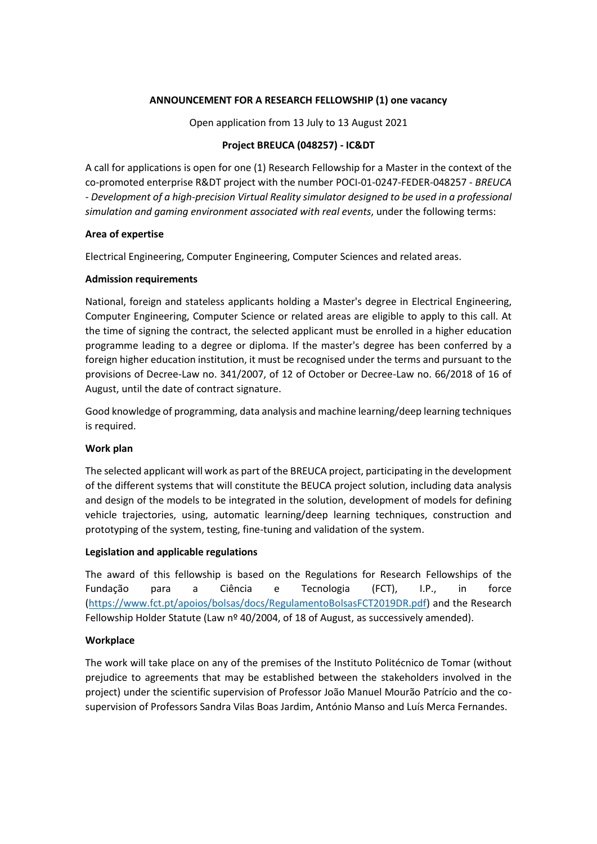### **ANNOUNCEMENT FOR A RESEARCH FELLOWSHIP (1) one vacancy**

Open application from 13 July to 13 August 2021

# **Project BREUCA (048257) - IC&DT**

A call for applications is open for one (1) Research Fellowship for a Master in the context of the co-promoted enterprise R&DT project with the number POCI-01-0247-FEDER-048257 - *BREUCA - Development of a high-precision Virtual Reality simulator designed to be used in a professional simulation and gaming environment associated with real events*, under the following terms:

## **Area of expertise**

Electrical Engineering, Computer Engineering, Computer Sciences and related areas.

## **Admission requirements**

National, foreign and stateless applicants holding a Master's degree in Electrical Engineering, Computer Engineering, Computer Science or related areas are eligible to apply to this call. At the time of signing the contract, the selected applicant must be enrolled in a higher education programme leading to a degree or diploma. If the master's degree has been conferred by a foreign higher education institution, it must be recognised under the terms and pursuant to the provisions of Decree-Law no. 341/2007, of 12 of October or Decree-Law no. 66/2018 of 16 of August, until the date of contract signature.

Good knowledge of programming, data analysis and machine learning/deep learning techniques is required.

# **Work plan**

The selected applicant will work as part of the BREUCA project, participating in the development of the different systems that will constitute the BEUCA project solution, including data analysis and design of the models to be integrated in the solution, development of models for defining vehicle trajectories, using, automatic learning/deep learning techniques, construction and prototyping of the system, testing, fine-tuning and validation of the system.

#### **Legislation and applicable regulations**

The award of this fellowship is based on the Regulations for Research Fellowships of the Fundação para a Ciência e Tecnologia (FCT), I.P., in force [\(https://www.fct.pt/apoios/bolsas/docs/RegulamentoBolsasFCT2019DR.pdf\)](https://www.fct.pt/apoios/bolsas/docs/RegulamentoBolsasFCT2019DR.pdf) and the Research Fellowship Holder Statute (Law nº 40/2004, of 18 of August, as successively amended).

# **Workplace**

The work will take place on any of the premises of the Instituto Politécnico de Tomar (without prejudice to agreements that may be established between the stakeholders involved in the project) under the scientific supervision of Professor João Manuel Mourão Patrício and the cosupervision of Professors Sandra Vilas Boas Jardim, António Manso and Luís Merca Fernandes.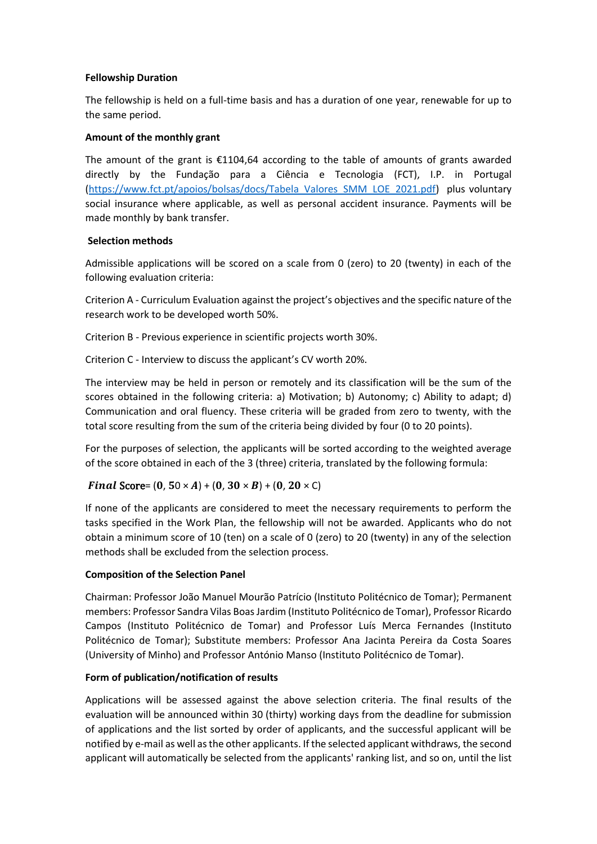## **Fellowship Duration**

The fellowship is held on a full-time basis and has a duration of one year, renewable for up to the same period.

## **Amount of the monthly grant**

The amount of the grant is  $\epsilon$ 1104,64 according to the table of amounts of grants awarded directly by the Fundação para a Ciência e Tecnologia (FCT), I.P. in Portugal [\(https://www.fct.pt/apoios/bolsas/docs/Tabela\\_Valores\\_SMM\\_LOE\\_2021.pdf\)](https://www.fct.pt/apoios/bolsas/docs/Tabela_Valores_SMM_LOE_2021.pdf) plus voluntary social insurance where applicable, as well as personal accident insurance. Payments will be made monthly by bank transfer.

## **Selection methods**

Admissible applications will be scored on a scale from 0 (zero) to 20 (twenty) in each of the following evaluation criteria:

Criterion A - Curriculum Evaluation against the project's objectives and the specific nature of the research work to be developed worth 50%.

Criterion B - Previous experience in scientific projects worth 30%.

Criterion C - Interview to discuss the applicant's CV worth 20%.

The interview may be held in person or remotely and its classification will be the sum of the scores obtained in the following criteria: a) Motivation; b) Autonomy; c) Ability to adapt; d) Communication and oral fluency. These criteria will be graded from zero to twenty, with the total score resulting from the sum of the criteria being divided by four (0 to 20 points).

For the purposes of selection, the applicants will be sorted according to the weighted average of the score obtained in each of the 3 (three) criteria, translated by the following formula:

# Final Score=  $(0, 50 \times A) + (0, 30 \times B) + (0, 20 \times C)$

If none of the applicants are considered to meet the necessary requirements to perform the tasks specified in the Work Plan, the fellowship will not be awarded. Applicants who do not obtain a minimum score of 10 (ten) on a scale of 0 (zero) to 20 (twenty) in any of the selection methods shall be excluded from the selection process.

#### **Composition of the Selection Panel**

Chairman: Professor João Manuel Mourão Patrício (Instituto Politécnico de Tomar); Permanent members: Professor Sandra Vilas Boas Jardim (Instituto Politécnico de Tomar), Professor Ricardo Campos (Instituto Politécnico de Tomar) and Professor Luís Merca Fernandes (Instituto Politécnico de Tomar); Substitute members: Professor Ana Jacinta Pereira da Costa Soares (University of Minho) and Professor António Manso (Instituto Politécnico de Tomar).

#### **Form of publication/notification of results**

Applications will be assessed against the above selection criteria. The final results of the evaluation will be announced within 30 (thirty) working days from the deadline for submission of applications and the list sorted by order of applicants, and the successful applicant will be notified by e-mail as well as the other applicants. If the selected applicant withdraws, the second applicant will automatically be selected from the applicants' ranking list, and so on, until the list